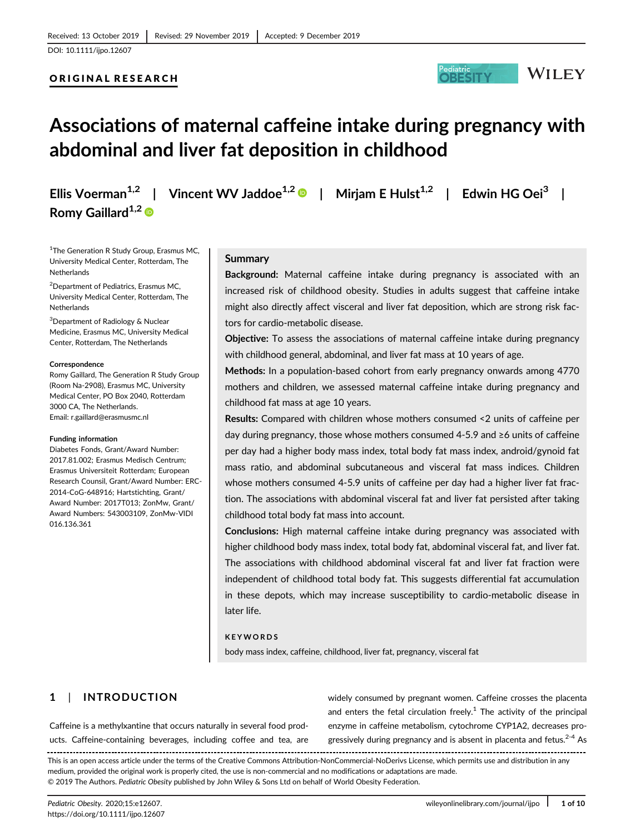### ORIGINAL RESEARCH



# Associations of maternal caffeine intake during pregnancy with abdominal and liver fat deposition in childhood

Romy Gaillard<sup>1,2</sup>

Ellis Voerman<sup>1,2</sup> | Vincent WV Jaddoe<sup>1,2</sup> | Miriam E Hulst<sup>1,2</sup> | Edwin HG Oei<sup>3</sup> |

<sup>1</sup>The Generation R Study Group, Erasmus MC, University Medical Center, Rotterdam, The Netherlands

2 Department of Pediatrics, Erasmus MC, University Medical Center, Rotterdam, The **Netherlands** 

3 Department of Radiology & Nuclear Medicine, Erasmus MC, University Medical Center, Rotterdam, The Netherlands

#### **Correspondence**

Romy Gaillard, The Generation R Study Group (Room Na-2908), Erasmus MC, University Medical Center, PO Box 2040, Rotterdam 3000 CA, The Netherlands. Email: [r.gaillard@erasmusmc.nl](mailto:r.gaillard@erasmusmc.nl)

#### Funding information

Diabetes Fonds, Grant/Award Number: 2017.81.002; Erasmus Medisch Centrum; Erasmus Universiteit Rotterdam; European Research Counsil, Grant/Award Number: ERC-2014-CoG-648916; Hartstichting, Grant/ Award Number: 2017T013; ZonMw, Grant/ Award Numbers: 543003109, ZonMw-VIDI 016.136.361

### Summary

Background: Maternal caffeine intake during pregnancy is associated with an increased risk of childhood obesity. Studies in adults suggest that caffeine intake might also directly affect visceral and liver fat deposition, which are strong risk factors for cardio-metabolic disease.

Objective: To assess the associations of maternal caffeine intake during pregnancy with childhood general, abdominal, and liver fat mass at 10 years of age.

Methods: In a population-based cohort from early pregnancy onwards among 4770 mothers and children, we assessed maternal caffeine intake during pregnancy and childhood fat mass at age 10 years.

Results: Compared with children whose mothers consumed <2 units of caffeine per day during pregnancy, those whose mothers consumed 4-5.9 and ≥6 units of caffeine per day had a higher body mass index, total body fat mass index, android/gynoid fat mass ratio, and abdominal subcutaneous and visceral fat mass indices. Children whose mothers consumed 4-5.9 units of caffeine per day had a higher liver fat fraction. The associations with abdominal visceral fat and liver fat persisted after taking childhood total body fat mass into account.

Conclusions: High maternal caffeine intake during pregnancy was associated with higher childhood body mass index, total body fat, abdominal visceral fat, and liver fat. The associations with childhood abdominal visceral fat and liver fat fraction were independent of childhood total body fat. This suggests differential fat accumulation in these depots, which may increase susceptibility to cardio-metabolic disease in later life.

#### KEYWORDS

body mass index, caffeine, childhood, liver fat, pregnancy, visceral fat

# 1 | INTRODUCTION

Caffeine is a methylxantine that occurs naturally in several food products. Caffeine-containing beverages, including coffee and tea, are widely consumed by pregnant women. Caffeine crosses the placenta and enters the fetal circulation freely.<sup>1</sup> The activity of the principal enzyme in caffeine metabolism, cytochrome CYP1A2, decreases progressively during pregnancy and is absent in placenta and fetus.<sup>2-4</sup> As

This is an open access article under the terms of the [Creative Commons Attribution-NonCommercial-NoDerivs](http://creativecommons.org/licenses/by-nc-nd/4.0/) License, which permits use and distribution in any medium, provided the original work is properly cited, the use is non-commercial and no modifications or adaptations are made. © 2019 The Authors. Pediatric Obesity published by John Wiley & Sons Ltd on behalf of World Obesity Federation.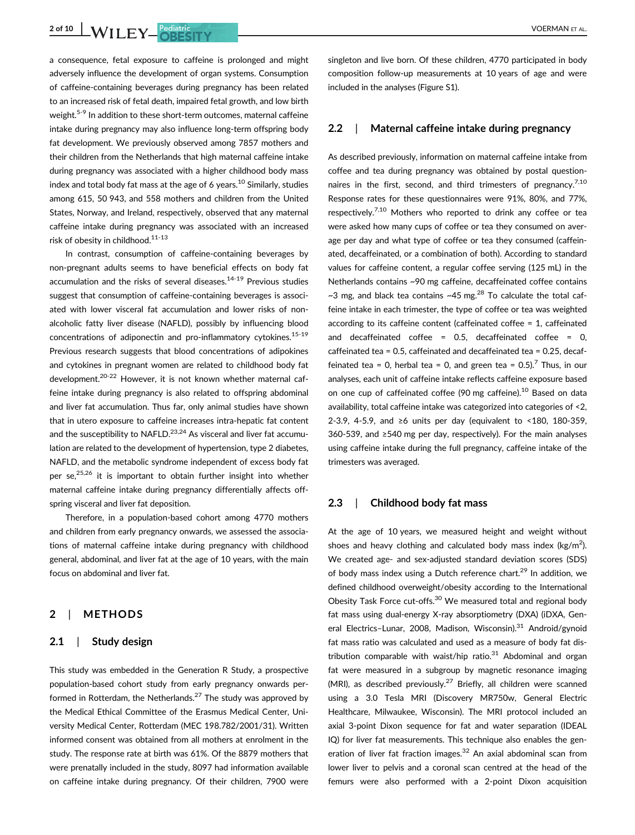**2 of 10 WILEY Pediatric** Pediatric VOERMAN ET AL.

a consequence, fetal exposure to caffeine is prolonged and might adversely influence the development of organ systems. Consumption of caffeine-containing beverages during pregnancy has been related to an increased risk of fetal death, impaired fetal growth, and low birth weight.<sup>5-9</sup> In addition to these short-term outcomes, maternal caffeine intake during pregnancy may also influence long-term offspring body fat development. We previously observed among 7857 mothers and their children from the Netherlands that high maternal caffeine intake during pregnancy was associated with a higher childhood body mass index and total body fat mass at the age of 6 years.<sup>10</sup> Similarly, studies among 615, 50 943, and 558 mothers and children from the United States, Norway, and Ireland, respectively, observed that any maternal caffeine intake during pregnancy was associated with an increased risk of obesity in childhood.<sup>11-13</sup>

In contrast, consumption of caffeine-containing beverages by non-pregnant adults seems to have beneficial effects on body fat accumulation and the risks of several diseases.<sup>14-19</sup> Previous studies suggest that consumption of caffeine-containing beverages is associated with lower visceral fat accumulation and lower risks of nonalcoholic fatty liver disease (NAFLD), possibly by influencing blood concentrations of adiponectin and pro-inflammatory cytokines.<sup>15-19</sup> Previous research suggests that blood concentrations of adipokines and cytokines in pregnant women are related to childhood body fat development.<sup>20-22</sup> However, it is not known whether maternal caffeine intake during pregnancy is also related to offspring abdominal and liver fat accumulation. Thus far, only animal studies have shown that in utero exposure to caffeine increases intra-hepatic fat content and the susceptibility to NAFLD.<sup>23,24</sup> As visceral and liver fat accumulation are related to the development of hypertension, type 2 diabetes, NAFLD, and the metabolic syndrome independent of excess body fat per se, $25,26$  it is important to obtain further insight into whether maternal caffeine intake during pregnancy differentially affects offspring visceral and liver fat deposition.

Therefore, in a population-based cohort among 4770 mothers and children from early pregnancy onwards, we assessed the associations of maternal caffeine intake during pregnancy with childhood general, abdominal, and liver fat at the age of 10 years, with the main focus on abdominal and liver fat.

### 2 | METHODS

### 2.1 | Study design

This study was embedded in the Generation R Study, a prospective population-based cohort study from early pregnancy onwards performed in Rotterdam, the Netherlands.<sup>27</sup> The study was approved by the Medical Ethical Committee of the Erasmus Medical Center, University Medical Center, Rotterdam (MEC 198.782/2001/31). Written informed consent was obtained from all mothers at enrolment in the study. The response rate at birth was 61%. Of the 8879 mothers that were prenatally included in the study, 8097 had information available on caffeine intake during pregnancy. Of their children, 7900 were singleton and live born. Of these children, 4770 participated in body composition follow-up measurements at 10 years of age and were included in the analyses (Figure S1).

### 2.2 | Maternal caffeine intake during pregnancy

As described previously, information on maternal caffeine intake from coffee and tea during pregnancy was obtained by postal questionnaires in the first, second, and third trimesters of pregnancy.<sup>7,10</sup> Response rates for these questionnaires were 91%, 80%, and 77%, respectively.<sup>7,10</sup> Mothers who reported to drink any coffee or tea were asked how many cups of coffee or tea they consumed on average per day and what type of coffee or tea they consumed (caffeinated, decaffeinated, or a combination of both). According to standard values for caffeine content, a regular coffee serving (125 mL) in the Netherlands contains ~90 mg caffeine, decaffeinated coffee contains ~3 mg, and black tea contains ~45 mg.<sup>28</sup> To calculate the total caffeine intake in each trimester, the type of coffee or tea was weighted according to its caffeine content (caffeinated coffee = 1, caffeinated and decaffeinated coffee = 0.5, decaffeinated coffee = 0, caffeinated tea = 0.5, caffeinated and decaffeinated tea = 0.25, decaffeinated tea = 0, herbal tea = 0, and green tea =  $0.5$ ).<sup>7</sup> Thus, in our analyses, each unit of caffeine intake reflects caffeine exposure based on one cup of caffeinated coffee (90 mg caffeine).<sup>10</sup> Based on data availability, total caffeine intake was categorized into categories of <2, 2-3.9, 4-5.9, and ≥6 units per day (equivalent to <180, 180-359, 360-539, and ≥540 mg per day, respectively). For the main analyses using caffeine intake during the full pregnancy, caffeine intake of the trimesters was averaged.

### 2.3 | Childhood body fat mass

At the age of 10 years, we measured height and weight without shoes and heavy clothing and calculated body mass index (kg/m<sup>2</sup>). We created age- and sex-adjusted standard deviation scores (SDS) of body mass index using a Dutch reference chart.<sup>29</sup> In addition, we defined childhood overweight/obesity according to the International Obesity Task Force cut-offs.30 We measured total and regional body fat mass using dual-energy X-ray absorptiometry (DXA) (iDXA, General Electrics-Lunar, 2008, Madison, Wisconsin).<sup>31</sup> Android/gynoid fat mass ratio was calculated and used as a measure of body fat distribution comparable with waist/hip ratio. $31$  Abdominal and organ fat were measured in a subgroup by magnetic resonance imaging (MRI), as described previously.<sup>27</sup> Briefly, all children were scanned using a 3.0 Tesla MRI (Discovery MR750w, General Electric Healthcare, Milwaukee, Wisconsin). The MRI protocol included an axial 3-point Dixon sequence for fat and water separation (IDEAL IQ) for liver fat measurements. This technique also enables the generation of liver fat fraction images. $32$  An axial abdominal scan from lower liver to pelvis and a coronal scan centred at the head of the femurs were also performed with a 2-point Dixon acquisition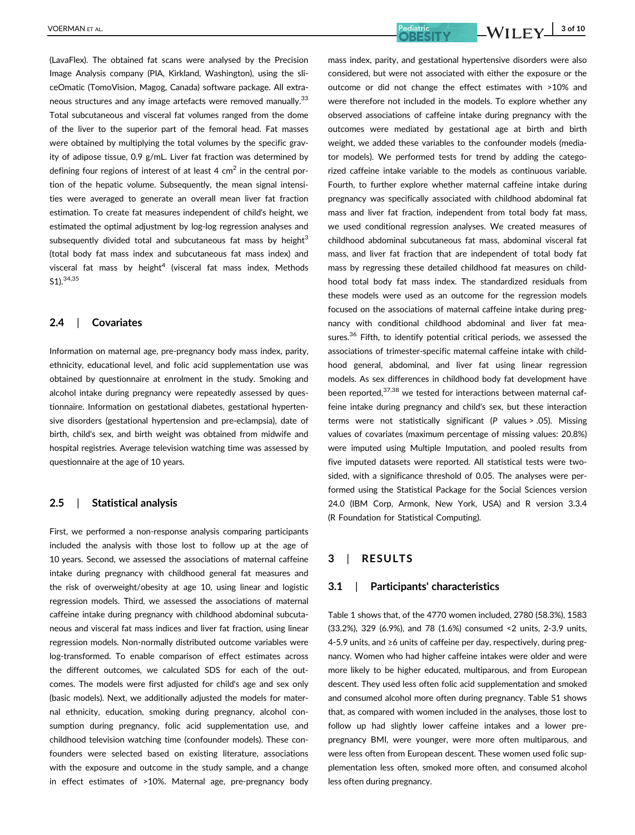(LavaFlex). The obtained fat scans were analysed by the Precision Image Analysis company (PIA, Kirkland, Washington), using the sliceOmatic (TomoVision, Magog, Canada) software package. All extraneous structures and any image artefacts were removed manually.<sup>33</sup> Total subcutaneous and visceral fat volumes ranged from the dome of the liver to the superior part of the femoral head. Fat masses were obtained by multiplying the total volumes by the specific gravity of adipose tissue, 0.9 g/mL. Liver fat fraction was determined by defining four regions of interest of at least 4  $cm<sup>2</sup>$  in the central portion of the hepatic volume. Subsequently, the mean signal intensities were averaged to generate an overall mean liver fat fraction estimation. To create fat measures independent of child's height, we estimated the optimal adjustment by log-log regression analyses and subsequently divided total and subcutaneous fat mass by height $3$ (total body fat mass index and subcutaneous fat mass index) and visceral fat mass by height<sup>4</sup> (visceral fat mass index, Methods S1).34,35

### 2.4 | Covariates

Information on maternal age, pre-pregnancy body mass index, parity, ethnicity, educational level, and folic acid supplementation use was obtained by questionnaire at enrolment in the study. Smoking and alcohol intake during pregnancy were repeatedly assessed by questionnaire. Information on gestational diabetes, gestational hypertensive disorders (gestational hypertension and pre-eclampsia), date of birth, child's sex, and birth weight was obtained from midwife and hospital registries. Average television watching time was assessed by questionnaire at the age of 10 years.

### 2.5 | Statistical analysis

First, we performed a non-response analysis comparing participants included the analysis with those lost to follow up at the age of 10 years. Second, we assessed the associations of maternal caffeine intake during pregnancy with childhood general fat measures and the risk of overweight/obesity at age 10, using linear and logistic regression models. Third, we assessed the associations of maternal caffeine intake during pregnancy with childhood abdominal subcutaneous and visceral fat mass indices and liver fat fraction, using linear regression models. Non-normally distributed outcome variables were log-transformed. To enable comparison of effect estimates across the different outcomes, we calculated SDS for each of the outcomes. The models were first adjusted for child's age and sex only (basic models). Next, we additionally adjusted the models for maternal ethnicity, education, smoking during pregnancy, alcohol consumption during pregnancy, folic acid supplementation use, and childhood television watching time (confounder models). These confounders were selected based on existing literature, associations with the exposure and outcome in the study sample, and a change in effect estimates of >10%. Maternal age, pre-pregnancy body

mass index, parity, and gestational hypertensive disorders were also considered, but were not associated with either the exposure or the outcome or did not change the effect estimates with >10% and were therefore not included in the models. To explore whether any observed associations of caffeine intake during pregnancy with the outcomes were mediated by gestational age at birth and birth weight, we added these variables to the confounder models (mediator models). We performed tests for trend by adding the categorized caffeine intake variable to the models as continuous variable. Fourth, to further explore whether maternal caffeine intake during pregnancy was specifically associated with childhood abdominal fat mass and liver fat fraction, independent from total body fat mass, we used conditional regression analyses. We created measures of childhood abdominal subcutaneous fat mass, abdominal visceral fat mass, and liver fat fraction that are independent of total body fat mass by regressing these detailed childhood fat measures on childhood total body fat mass index. The standardized residuals from these models were used as an outcome for the regression models focused on the associations of maternal caffeine intake during pregnancy with conditional childhood abdominal and liver fat measures.<sup>36</sup> Fifth, to identify potential critical periods, we assessed the associations of trimester-specific maternal caffeine intake with childhood general, abdominal, and liver fat using linear regression models. As sex differences in childhood body fat development have been reported.<sup>37,38</sup> we tested for interactions between maternal caffeine intake during pregnancy and child's sex, but these interaction terms were not statistically significant (P values > .05). Missing values of covariates (maximum percentage of missing values: 20.8%) were imputed using Multiple Imputation, and pooled results from five imputed datasets were reported. All statistical tests were twosided, with a significance threshold of 0.05. The analyses were performed using the Statistical Package for the Social Sciences version 24.0 (IBM Corp, Armonk, New York, USA) and R version 3.3.4 (R Foundation for Statistical Computing).

### 3 | RESULTS

### 3.1 | Participants' characteristics

Table 1 shows that, of the 4770 women included, 2780 (58.3%), 1583 (33.2%), 329 (6.9%), and 78 (1.6%) consumed <2 units, 2-3.9 units, 4-5.9 units, and ≥6 units of caffeine per day, respectively, during pregnancy. Women who had higher caffeine intakes were older and were more likely to be higher educated, multiparous, and from European descent. They used less often folic acid supplementation and smoked and consumed alcohol more often during pregnancy. Table S1 shows that, as compared with women included in the analyses, those lost to follow up had slightly lower caffeine intakes and a lower prepregnancy BMI, were younger, were more often multiparous, and were less often from European descent. These women used folic supplementation less often, smoked more often, and consumed alcohol less often during pregnancy.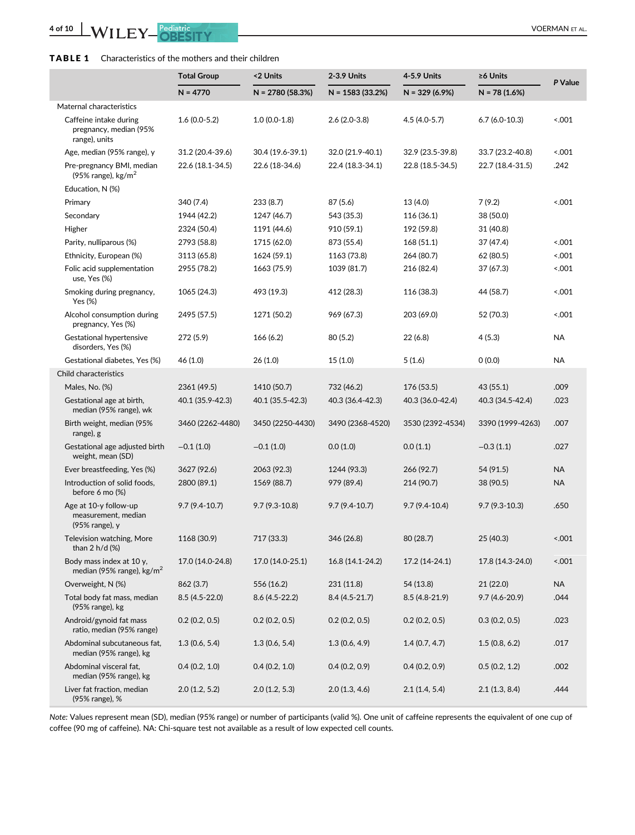### TABLE 1 Characteristics of the mothers and their children

|                                                                   | <b>Total Group</b> | <2 Units          | 2-3.9 Units       | 4-5.9 Units      | ≥6 Units          | P Value   |
|-------------------------------------------------------------------|--------------------|-------------------|-------------------|------------------|-------------------|-----------|
|                                                                   | $N = 4770$         | $N = 2780(58.3%)$ | $N = 1583(33.2%)$ | $N = 329(6.9%)$  | $N = 78(1.6%)$    |           |
| Maternal characteristics                                          |                    |                   |                   |                  |                   |           |
| Caffeine intake during<br>pregnancy, median (95%<br>range), units | $1.6(0.0-5.2)$     | $1.0(0.0-1.8)$    | $2.6(2.0-3.8)$    | $4.5(4.0-5.7)$   | $6.7(6.0-10.3)$   | 001       |
| Age, median (95% range), y                                        | 31.2 (20.4-39.6)   | 30.4 (19.6-39.1)  | 32.0 (21.9-40.1)  | 32.9 (23.5-39.8) | 33.7 (23.2-40.8)  | 001       |
| Pre-pregnancy BMI, median<br>(95% range), $\text{kg/m}^2$         | 22.6 (18.1-34.5)   | 22.6 (18-34.6)    | 22.4 (18.3-34.1)  | 22.8 (18.5-34.5) | 22.7 (18.4-31.5)  | .242      |
| Education, N (%)                                                  |                    |                   |                   |                  |                   |           |
| Primary                                                           | 340 (7.4)          | 233 (8.7)         | 87 (5.6)          | 13 (4.0)         | 7(9.2)            | 001       |
| Secondary                                                         | 1944 (42.2)        | 1247 (46.7)       | 543 (35.3)        | 116 (36.1)       | 38 (50.0)         |           |
| Higher                                                            | 2324 (50.4)        | 1191 (44.6)       | 910 (59.1)        | 192 (59.8)       | 31 (40.8)         |           |
| Parity, nulliparous (%)                                           | 2793 (58.8)        | 1715 (62.0)       | 873 (55.4)        | 168 (51.1)       | 37 (47.4)         | 001       |
| Ethnicity, European (%)                                           | 3113 (65.8)        | 1624 (59.1)       | 1163 (73.8)       | 264 (80.7)       | 62 (80.5)         | 001       |
| Folic acid supplementation<br>use, Yes (%)                        | 2955 (78.2)        | 1663 (75.9)       | 1039 (81.7)       | 216 (82.4)       | 37 (67.3)         | 001       |
| Smoking during pregnancy,<br>Yes (%)                              | 1065 (24.3)        | 493 (19.3)        | 412 (28.3)        | 116 (38.3)       | 44 (58.7)         | 001       |
| Alcohol consumption during<br>pregnancy, Yes (%)                  | 2495 (57.5)        | 1271 (50.2)       | 969 (67.3)        | 203 (69.0)       | 52 (70.3)         | < 0.001   |
| Gestational hypertensive<br>disorders, Yes (%)                    | 272 (5.9)          | 166(6.2)          | 80 (5.2)          | 22 (6.8)         | 4(5.3)            | NA        |
| Gestational diabetes, Yes (%)                                     | 46 (1.0)           | 26(1.0)           | 15(1.0)           | 5(1.6)           | 0(0.0)            | NA        |
| Child characteristics                                             |                    |                   |                   |                  |                   |           |
| Males, No. (%)                                                    | 2361 (49.5)        | 1410 (50.7)       | 732 (46.2)        | 176 (53.5)       | 43 (55.1)         | .009      |
| Gestational age at birth,<br>median (95% range), wk               | 40.1 (35.9-42.3)   | 40.1 (35.5-42.3)  | 40.3 (36.4-42.3)  | 40.3 (36.0-42.4) | 40.3 (34.5-42.4)  | .023      |
| Birth weight, median (95%<br>range), g                            | 3460 (2262-4480)   | 3450 (2250-4430)  | 3490 (2368-4520)  | 3530 (2392-4534) | 3390 (1999-4263)  | .007      |
| Gestational age adjusted birth<br>weight, mean (SD)               | $-0.1(1.0)$        | $-0.1(1.0)$       | 0.0(1.0)          | 0.0(1.1)         | $-0.3(1.1)$       | .027      |
| Ever breastfeeding, Yes (%)                                       | 3627 (92.6)        | 2063 (92.3)       | 1244 (93.3)       | 266 (92.7)       | 54 (91.5)         | <b>NA</b> |
| Introduction of solid foods,<br>before 6 mo (%)                   | 2800 (89.1)        | 1569 (88.7)       | 979 (89.4)        | 214 (90.7)       | 38 (90.5)         | <b>NA</b> |
| Age at 10-y follow-up<br>measurement, median<br>(95% range), y    | $9.7(9.4-10.7)$    | $9.7(9.3-10.8)$   | $9.7(9.4-10.7)$   | $9.7(9.4-10.4)$  | $9.7(9.3-10.3)$   | .650      |
| Television watching, More<br>than 2 h/d (%)                       | 1168 (30.9)        | 717 (33.3)        | 346 (26.8)        | 80 (28.7)        | 25 (40.3)         | < 0.001   |
| Body mass index at 10 y,<br>median (95% range), $\text{kg/m}^2$   | 17.0 (14.0-24.8)   | 17.0 (14.0-25.1)  | 16.8 (14.1-24.2)  | 17.2 (14-24.1)   | 17.8 (14.3-24.0)  | < 0.001   |
| Overweight, N (%)                                                 | 862 (3.7)          | 556 (16.2)        | 231 (11.8)        | 54 (13.8)        | 21 (22.0)         | NA        |
| Total body fat mass, median<br>(95% range), kg                    | 8.5 (4.5-22.0)     | 8.6 (4.5-22.2)    | $8.4(4.5-21.7)$   | 8.5 (4.8-21.9)   | $9.7(4.6 - 20.9)$ | .044      |
| Android/gynoid fat mass<br>ratio, median (95% range)              | 0.2(0.2, 0.5)      | 0.2(0.2, 0.5)     | 0.2(0.2, 0.5)     | 0.2(0.2, 0.5)    | 0.3(0.2, 0.5)     | .023      |
| Abdominal subcutaneous fat,<br>median (95% range), kg             | 1.3(0.6, 5.4)      | 1.3(0.6, 5.4)     | 1.3(0.6, 4.9)     | 1.4(0.7, 4.7)    | 1.5(0.8, 6.2)     | .017      |
| Abdominal visceral fat,<br>median (95% range), kg                 | 0.4(0.2, 1.0)      | 0.4(0.2, 1.0)     | 0.4(0.2, 0.9)     | 0.4(0.2, 0.9)    | 0.5(0.2, 1.2)     | .002      |
| Liver fat fraction, median<br>(95% range), %                      | 2.0(1.2, 5.2)      | 2.0(1.2, 5.3)     | 2.0(1.3, 4.6)     | 2.1(1.4, 5.4)    | 2.1(1.3, 8.4)     | .444      |

Note: Values represent mean (SD), median (95% range) or number of participants (valid %). One unit of caffeine represents the equivalent of one cup of coffee (90 mg of caffeine). NA: Chi-square test not available as a result of low expected cell counts.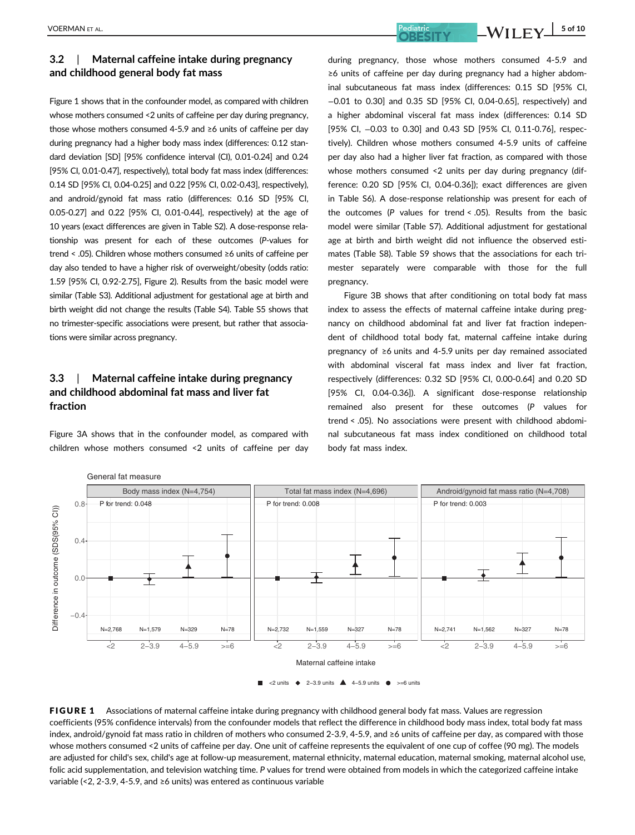## 3.2 | Maternal caffeine intake during pregnancy and childhood general body fat mass

Figure 1 shows that in the confounder model, as compared with children whose mothers consumed <2 units of caffeine per day during pregnancy, those whose mothers consumed 4-5.9 and ≥6 units of caffeine per day during pregnancy had a higher body mass index (differences: 0.12 standard deviation [SD] [95% confidence interval (CI), 0.01-0.24] and 0.24 [95% CI, 0.01-0.47], respectively), total body fat mass index (differences: 0.14 SD [95% CI, 0.04-0.25] and 0.22 [95% CI, 0.02-0.43], respectively), and android/gynoid fat mass ratio (differences: 0.16 SD [95% CI, 0.05-0.27] and 0.22 [95% CI, 0.01-0.44], respectively) at the age of 10 years (exact differences are given in Table S2). A dose-response relationship was present for each of these outcomes (P-values for trend < .05). Children whose mothers consumed ≥6 units of caffeine per day also tended to have a higher risk of overweight/obesity (odds ratio: 1.59 [95% CI, 0.92-2.75], Figure 2). Results from the basic model were similar (Table S3). Additional adjustment for gestational age at birth and birth weight did not change the results (Table S4). Table S5 shows that no trimester-specific associations were present, but rather that associations were similar across pregnancy.

### 3.3 | Maternal caffeine intake during pregnancy and childhood abdominal fat mass and liver fat fraction

Figure 3A shows that in the confounder model, as compared with children whose mothers consumed <2 units of caffeine per day during pregnancy, those whose mothers consumed 4-5.9 and ≥6 units of caffeine per day during pregnancy had a higher abdominal subcutaneous fat mass index (differences: 0.15 SD [95% CI, −0.01 to 0.30] and 0.35 SD [95% CI, 0.04-0.65], respectively) and a higher abdominal visceral fat mass index (differences: 0.14 SD [95% CI, -0.03 to 0.30] and 0.43 SD [95% CI, 0.11-0.76], respectively). Children whose mothers consumed 4-5.9 units of caffeine per day also had a higher liver fat fraction, as compared with those whose mothers consumed <2 units per day during pregnancy (difference: 0.20 SD [95% CI, 0.04-0.36]); exact differences are given in Table S6). A dose-response relationship was present for each of the outcomes (P values for trend < .05). Results from the basic model were similar (Table S7). Additional adjustment for gestational age at birth and birth weight did not influence the observed estimates (Table S8). Table S9 shows that the associations for each trimester separately were comparable with those for the full pregnancy.

Figure 3B shows that after conditioning on total body fat mass index to assess the effects of maternal caffeine intake during pregnancy on childhood abdominal fat and liver fat fraction independent of childhood total body fat, maternal caffeine intake during pregnancy of ≥6 units and 4-5.9 units per day remained associated with abdominal visceral fat mass index and liver fat fraction, respectively (differences: 0.32 SD [95% CI, 0.00-0.64] and 0.20 SD [95% CI, 0.04-0.36]). A significant dose-response relationship remained also present for these outcomes (P values for trend < .05). No associations were present with childhood abdominal subcutaneous fat mass index conditioned on childhood total body fat mass index.



FIGURE 1 Associations of maternal caffeine intake during pregnancy with childhood general body fat mass. Values are regression coefficients (95% confidence intervals) from the confounder models that reflect the difference in childhood body mass index, total body fat mass index, android/gynoid fat mass ratio in children of mothers who consumed 2-3.9, 4-5.9, and ≥6 units of caffeine per day, as compared with those whose mothers consumed <2 units of caffeine per day. One unit of caffeine represents the equivalent of one cup of coffee (90 mg). The models are adjusted for child's sex, child's age at follow-up measurement, maternal ethnicity, maternal education, maternal smoking, maternal alcohol use, folic acid supplementation, and television watching time. P values for trend were obtained from models in which the categorized caffeine intake variable (<2, 2-3.9, 4-5.9, and ≥6 units) was entered as continuous variable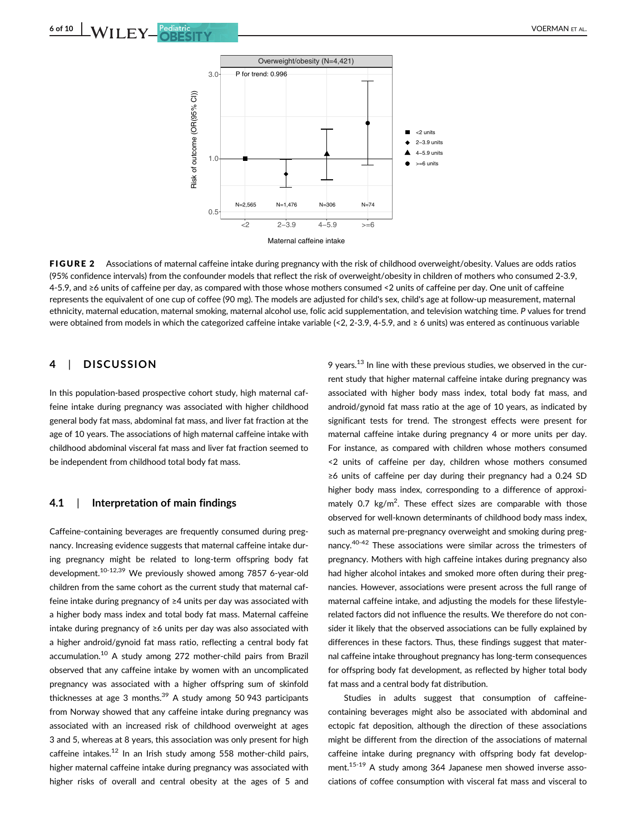

FIGURE 2 Associations of maternal caffeine intake during pregnancy with the risk of childhood overweight/obesity. Values are odds ratios (95% confidence intervals) from the confounder models that reflect the risk of overweight/obesity in children of mothers who consumed 2-3.9, 4-5.9, and ≥6 units of caffeine per day, as compared with those whose mothers consumed <2 units of caffeine per day. One unit of caffeine represents the equivalent of one cup of coffee (90 mg). The models are adjusted for child's sex, child's age at follow-up measurement, maternal ethnicity, maternal education, maternal smoking, maternal alcohol use, folic acid supplementation, and television watching time. P values for trend were obtained from models in which the categorized caffeine intake variable (<2, 2-3.9, 4-5.9, and ≥ 6 units) was entered as continuous variable

### 4 | DISCUSSION

In this population-based prospective cohort study, high maternal caffeine intake during pregnancy was associated with higher childhood general body fat mass, abdominal fat mass, and liver fat fraction at the age of 10 years. The associations of high maternal caffeine intake with childhood abdominal visceral fat mass and liver fat fraction seemed to be independent from childhood total body fat mass.

### 4.1 | Interpretation of main findings

Caffeine-containing beverages are frequently consumed during pregnancy. Increasing evidence suggests that maternal caffeine intake during pregnancy might be related to long-term offspring body fat development.10-12,39 We previously showed among 7857 6-year-old children from the same cohort as the current study that maternal caffeine intake during pregnancy of ≥4 units per day was associated with a higher body mass index and total body fat mass. Maternal caffeine intake during pregnancy of ≥6 units per day was also associated with a higher android/gynoid fat mass ratio, reflecting a central body fat accumulation.10 A study among 272 mother-child pairs from Brazil observed that any caffeine intake by women with an uncomplicated pregnancy was associated with a higher offspring sum of skinfold thicknesses at age 3 months. $39$  A study among 50 943 participants from Norway showed that any caffeine intake during pregnancy was associated with an increased risk of childhood overweight at ages 3 and 5, whereas at 8 years, this association was only present for high caffeine intakes. $12$  In an Irish study among 558 mother-child pairs, higher maternal caffeine intake during pregnancy was associated with higher risks of overall and central obesity at the ages of 5 and 9 years.13 In line with these previous studies, we observed in the current study that higher maternal caffeine intake during pregnancy was associated with higher body mass index, total body fat mass, and android/gynoid fat mass ratio at the age of 10 years, as indicated by significant tests for trend. The strongest effects were present for maternal caffeine intake during pregnancy 4 or more units per day. For instance, as compared with children whose mothers consumed <2 units of caffeine per day, children whose mothers consumed ≥6 units of caffeine per day during their pregnancy had a 0.24 SD higher body mass index, corresponding to a difference of approximately 0.7  $\text{kg/m}^2$ . These effect sizes are comparable with those observed for well-known determinants of childhood body mass index, such as maternal pre-pregnancy overweight and smoking during pregnancy.40-42 These associations were similar across the trimesters of pregnancy. Mothers with high caffeine intakes during pregnancy also had higher alcohol intakes and smoked more often during their pregnancies. However, associations were present across the full range of maternal caffeine intake, and adjusting the models for these lifestylerelated factors did not influence the results. We therefore do not consider it likely that the observed associations can be fully explained by differences in these factors. Thus, these findings suggest that maternal caffeine intake throughout pregnancy has long-term consequences for offspring body fat development, as reflected by higher total body fat mass and a central body fat distribution.

Studies in adults suggest that consumption of caffeinecontaining beverages might also be associated with abdominal and ectopic fat deposition, although the direction of these associations might be different from the direction of the associations of maternal caffeine intake during pregnancy with offspring body fat development.<sup>15-19</sup> A study among 364 Japanese men showed inverse associations of coffee consumption with visceral fat mass and visceral to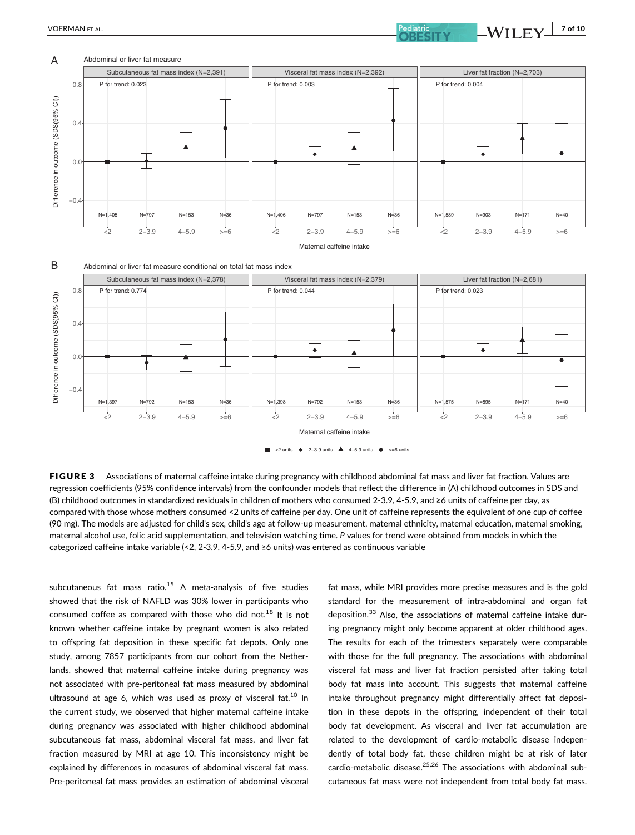



FIGURE 3 Associations of maternal caffeine intake during pregnancy with childhood abdominal fat mass and liver fat fraction. Values are regression coefficients (95% confidence intervals) from the confounder models that reflect the difference in (A) childhood outcomes in SDS and (B) childhood outcomes in standardized residuals in children of mothers who consumed 2-3.9, 4-5.9, and ≥6 units of caffeine per day, as compared with those whose mothers consumed <2 units of caffeine per day. One unit of caffeine represents the equivalent of one cup of coffee (90 mg). The models are adjusted for child's sex, child's age at follow-up measurement, maternal ethnicity, maternal education, maternal smoking, maternal alcohol use, folic acid supplementation, and television watching time. P values for trend were obtained from models in which the categorized caffeine intake variable (<2, 2-3.9, 4-5.9, and ≥6 units) was entered as continuous variable

subcutaneous fat mass ratio. $15$  A meta-analysis of five studies showed that the risk of NAFLD was 30% lower in participants who consumed coffee as compared with those who did not. $^{18}$  It is not known whether caffeine intake by pregnant women is also related to offspring fat deposition in these specific fat depots. Only one study, among 7857 participants from our cohort from the Netherlands, showed that maternal caffeine intake during pregnancy was not associated with pre-peritoneal fat mass measured by abdominal ultrasound at age 6, which was used as proxy of visceral fat. $10$  In the current study, we observed that higher maternal caffeine intake during pregnancy was associated with higher childhood abdominal subcutaneous fat mass, abdominal visceral fat mass, and liver fat fraction measured by MRI at age 10. This inconsistency might be explained by differences in measures of abdominal visceral fat mass. Pre-peritoneal fat mass provides an estimation of abdominal visceral

fat mass, while MRI provides more precise measures and is the gold standard for the measurement of intra-abdominal and organ fat deposition.<sup>33</sup> Also, the associations of maternal caffeine intake during pregnancy might only become apparent at older childhood ages. The results for each of the trimesters separately were comparable with those for the full pregnancy. The associations with abdominal visceral fat mass and liver fat fraction persisted after taking total body fat mass into account. This suggests that maternal caffeine intake throughout pregnancy might differentially affect fat deposition in these depots in the offspring, independent of their total body fat development. As visceral and liver fat accumulation are related to the development of cardio-metabolic disease independently of total body fat, these children might be at risk of later cardio-metabolic disease.<sup>25,26</sup> The associations with abdominal subcutaneous fat mass were not independent from total body fat mass.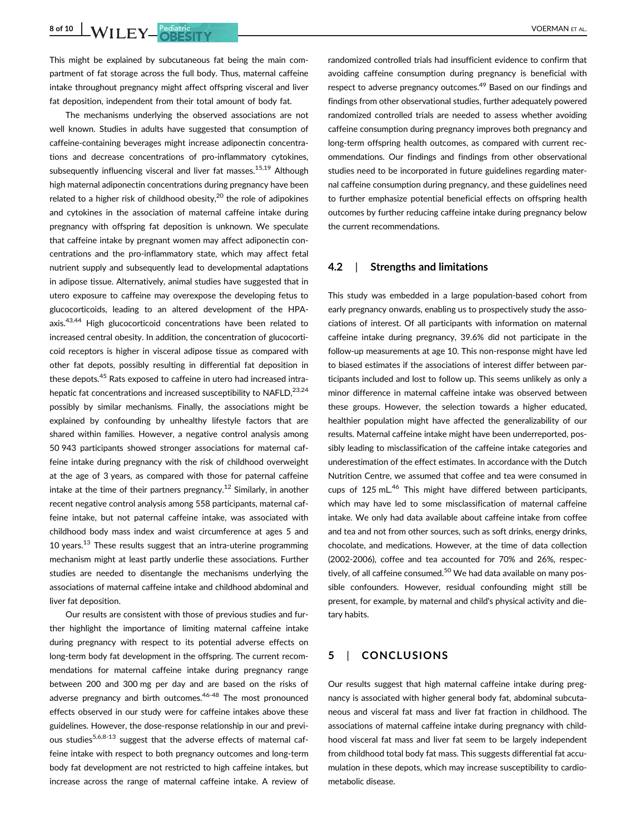This might be explained by subcutaneous fat being the main compartment of fat storage across the full body. Thus, maternal caffeine intake throughout pregnancy might affect offspring visceral and liver fat deposition, independent from their total amount of body fat.

The mechanisms underlying the observed associations are not well known. Studies in adults have suggested that consumption of caffeine-containing beverages might increase adiponectin concentrations and decrease concentrations of pro-inflammatory cytokines, subsequently influencing visceral and liver fat masses.<sup>15,19</sup> Although high maternal adiponectin concentrations during pregnancy have been related to a higher risk of childhood obesity, $20$  the role of adipokines and cytokines in the association of maternal caffeine intake during pregnancy with offspring fat deposition is unknown. We speculate that caffeine intake by pregnant women may affect adiponectin concentrations and the pro-inflammatory state, which may affect fetal nutrient supply and subsequently lead to developmental adaptations in adipose tissue. Alternatively, animal studies have suggested that in utero exposure to caffeine may overexpose the developing fetus to glucocorticoids, leading to an altered development of the HPAaxis.<sup>43,44</sup> High glucocorticoid concentrations have been related to increased central obesity. In addition, the concentration of glucocorticoid receptors is higher in visceral adipose tissue as compared with other fat depots, possibly resulting in differential fat deposition in these depots.<sup>45</sup> Rats exposed to caffeine in utero had increased intrahepatic fat concentrations and increased susceptibility to NAFLD.<sup>23,24</sup> possibly by similar mechanisms. Finally, the associations might be explained by confounding by unhealthy lifestyle factors that are shared within families. However, a negative control analysis among 50 943 participants showed stronger associations for maternal caffeine intake during pregnancy with the risk of childhood overweight at the age of 3 years, as compared with those for paternal caffeine intake at the time of their partners pregnancy.<sup>12</sup> Similarly, in another recent negative control analysis among 558 participants, maternal caffeine intake, but not paternal caffeine intake, was associated with childhood body mass index and waist circumference at ages 5 and 10 years.<sup>13</sup> These results suggest that an intra-uterine programming mechanism might at least partly underlie these associations. Further studies are needed to disentangle the mechanisms underlying the associations of maternal caffeine intake and childhood abdominal and liver fat deposition.

Our results are consistent with those of previous studies and further highlight the importance of limiting maternal caffeine intake during pregnancy with respect to its potential adverse effects on long-term body fat development in the offspring. The current recommendations for maternal caffeine intake during pregnancy range between 200 and 300 mg per day and are based on the risks of adverse pregnancy and birth outcomes.<sup>46-48</sup> The most pronounced effects observed in our study were for caffeine intakes above these guidelines. However, the dose-response relationship in our and previous studies<sup>5,6,8-13</sup> suggest that the adverse effects of maternal caffeine intake with respect to both pregnancy outcomes and long-term body fat development are not restricted to high caffeine intakes, but increase across the range of maternal caffeine intake. A review of randomized controlled trials had insufficient evidence to confirm that avoiding caffeine consumption during pregnancy is beneficial with respect to adverse pregnancy outcomes.<sup>49</sup> Based on our findings and findings from other observational studies, further adequately powered randomized controlled trials are needed to assess whether avoiding caffeine consumption during pregnancy improves both pregnancy and long-term offspring health outcomes, as compared with current recommendations. Our findings and findings from other observational studies need to be incorporated in future guidelines regarding maternal caffeine consumption during pregnancy, and these guidelines need to further emphasize potential beneficial effects on offspring health outcomes by further reducing caffeine intake during pregnancy below the current recommendations.

### 4.2 | Strengths and limitations

This study was embedded in a large population-based cohort from early pregnancy onwards, enabling us to prospectively study the associations of interest. Of all participants with information on maternal caffeine intake during pregnancy, 39.6% did not participate in the follow-up measurements at age 10. This non-response might have led to biased estimates if the associations of interest differ between participants included and lost to follow up. This seems unlikely as only a minor difference in maternal caffeine intake was observed between these groups. However, the selection towards a higher educated, healthier population might have affected the generalizability of our results. Maternal caffeine intake might have been underreported, possibly leading to misclassification of the caffeine intake categories and underestimation of the effect estimates. In accordance with the Dutch Nutrition Centre, we assumed that coffee and tea were consumed in cups of 125 mL.<sup>46</sup> This might have differed between participants, which may have led to some misclassification of maternal caffeine intake. We only had data available about caffeine intake from coffee and tea and not from other sources, such as soft drinks, energy drinks, chocolate, and medications. However, at the time of data collection (2002-2006), coffee and tea accounted for 70% and 26%, respectively, of all caffeine consumed.<sup>50</sup> We had data available on many possible confounders. However, residual confounding might still be present, for example, by maternal and child's physical activity and dietary habits.

### 5 | CONCLUSIONS

Our results suggest that high maternal caffeine intake during pregnancy is associated with higher general body fat, abdominal subcutaneous and visceral fat mass and liver fat fraction in childhood. The associations of maternal caffeine intake during pregnancy with childhood visceral fat mass and liver fat seem to be largely independent from childhood total body fat mass. This suggests differential fat accumulation in these depots, which may increase susceptibility to cardiometabolic disease.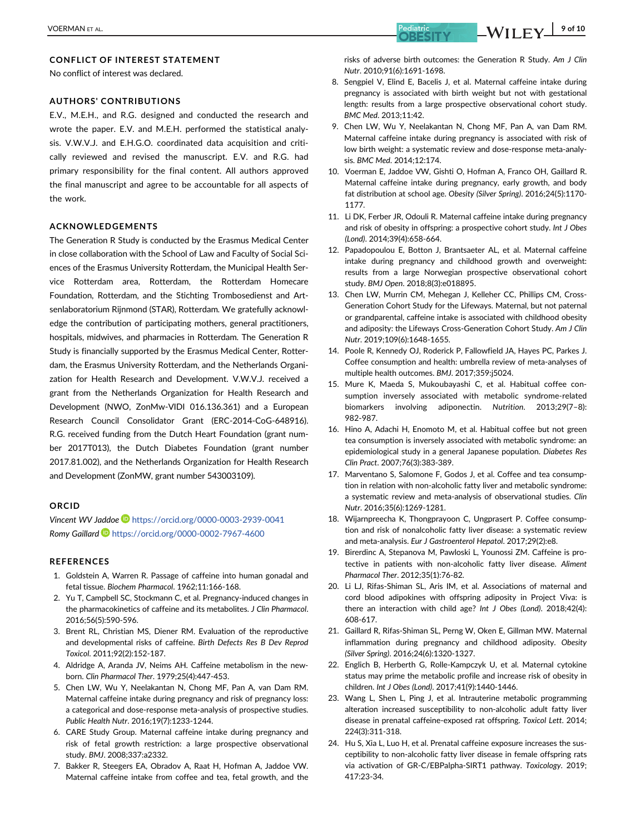### CONFLICT OF INTEREST STATEMENT

No conflict of interest was declared.

### AUTHORS' CONTRIBUTIONS

E.V., M.E.H., and R.G. designed and conducted the research and wrote the paper. E.V. and M.E.H. performed the statistical analysis. V.W.V.J. and E.H.G.O. coordinated data acquisition and critically reviewed and revised the manuscript. E.V. and R.G. had primary responsibility for the final content. All authors approved the final manuscript and agree to be accountable for all aspects of the work.

### ACKNOWLEDGEMENTS

The Generation R Study is conducted by the Erasmus Medical Center in close collaboration with the School of Law and Faculty of Social Sciences of the Erasmus University Rotterdam, the Municipal Health Service Rotterdam area, Rotterdam, the Rotterdam Homecare Foundation, Rotterdam, and the Stichting Trombosedienst and Artsenlaboratorium Rijnmond (STAR), Rotterdam. We gratefully acknowledge the contribution of participating mothers, general practitioners, hospitals, midwives, and pharmacies in Rotterdam. The Generation R Study is financially supported by the Erasmus Medical Center, Rotterdam, the Erasmus University Rotterdam, and the Netherlands Organization for Health Research and Development. V.W.V.J. received a grant from the Netherlands Organization for Health Research and Development (NWO, ZonMw-VIDI 016.136.361) and a European Research Council Consolidator Grant (ERC-2014-CoG-648916). R.G. received funding from the Dutch Heart Foundation (grant number 2017T013), the Dutch Diabetes Foundation (grant number 2017.81.002), and the Netherlands Organization for Health Research and Development (ZonMW, grant number 543003109).

#### ORCID

Vincent WV Jaddoe D<https://orcid.org/0000-0003-2939-0041> Romy Gaillard **b** <https://orcid.org/0000-0002-7967-4600>

#### REFERENCES

- 1. Goldstein A, Warren R. Passage of caffeine into human gonadal and fetal tissue. Biochem Pharmacol. 1962;11:166-168.
- 2. Yu T, Campbell SC, Stockmann C, et al. Pregnancy-induced changes in the pharmacokinetics of caffeine and its metabolites. J Clin Pharmacol. 2016;56(5):590-596.
- 3. Brent RL, Christian MS, Diener RM. Evaluation of the reproductive and developmental risks of caffeine. Birth Defects Res B Dev Reprod Toxicol. 2011;92(2):152-187.
- 4. Aldridge A, Aranda JV, Neims AH. Caffeine metabolism in the newborn. Clin Pharmacol Ther. 1979;25(4):447-453.
- 5. Chen LW, Wu Y, Neelakantan N, Chong MF, Pan A, van Dam RM. Maternal caffeine intake during pregnancy and risk of pregnancy loss: a categorical and dose-response meta-analysis of prospective studies. Public Health Nutr. 2016;19(7):1233-1244.
- 6. CARE Study Group. Maternal caffeine intake during pregnancy and risk of fetal growth restriction: a large prospective observational study. BMJ. 2008;337:a2332.
- 7. Bakker R, Steegers EA, Obradov A, Raat H, Hofman A, Jaddoe VW. Maternal caffeine intake from coffee and tea, fetal growth, and the
- 8. Sengpiel V, Elind E, Bacelis J, et al. Maternal caffeine intake during pregnancy is associated with birth weight but not with gestational length: results from a large prospective observational cohort study. BMC Med. 2013;11:42.
- 9. Chen LW, Wu Y, Neelakantan N, Chong MF, Pan A, van Dam RM. Maternal caffeine intake during pregnancy is associated with risk of low birth weight: a systematic review and dose-response meta-analysis. BMC Med. 2014;12:174.
- 10. Voerman E, Jaddoe VW, Gishti O, Hofman A, Franco OH, Gaillard R. Maternal caffeine intake during pregnancy, early growth, and body fat distribution at school age. Obesity (Silver Spring). 2016;24(5):1170- 1177.
- 11. Li DK, Ferber JR, Odouli R. Maternal caffeine intake during pregnancy and risk of obesity in offspring: a prospective cohort study. Int J Obes (Lond). 2014;39(4):658-664.
- 12. Papadopoulou E, Botton J, Brantsaeter AL, et al. Maternal caffeine intake during pregnancy and childhood growth and overweight: results from a large Norwegian prospective observational cohort study. BMJ Open. 2018;8(3):e018895.
- 13. Chen LW, Murrin CM, Mehegan J, Kelleher CC, Phillips CM, Cross-Generation Cohort Study for the Lifeways. Maternal, but not paternal or grandparental, caffeine intake is associated with childhood obesity and adiposity: the Lifeways Cross-Generation Cohort Study. Am J Clin Nutr. 2019;109(6):1648-1655.
- 14. Poole R, Kennedy OJ, Roderick P, Fallowfield JA, Hayes PC, Parkes J. Coffee consumption and health: umbrella review of meta-analyses of multiple health outcomes. BMJ. 2017;359:j5024.
- 15. Mure K, Maeda S, Mukoubayashi C, et al. Habitual coffee consumption inversely associated with metabolic syndrome-related biomarkers involving adiponectin. Nutrition. 2013;29(7–8): 982-987.
- 16. Hino A, Adachi H, Enomoto M, et al. Habitual coffee but not green tea consumption is inversely associated with metabolic syndrome: an epidemiological study in a general Japanese population. Diabetes Res Clin Pract. 2007;76(3):383-389.
- 17. Marventano S, Salomone F, Godos J, et al. Coffee and tea consumption in relation with non-alcoholic fatty liver and metabolic syndrome: a systematic review and meta-analysis of observational studies. Clin Nutr. 2016;35(6):1269-1281.
- 18. Wijarnpreecha K, Thongprayoon C, Ungprasert P. Coffee consumption and risk of nonalcoholic fatty liver disease: a systematic review and meta-analysis. Eur J Gastroenterol Hepatol. 2017;29(2):e8.
- 19. Birerdinc A, Stepanova M, Pawloski L, Younossi ZM. Caffeine is protective in patients with non-alcoholic fatty liver disease. Aliment Pharmacol Ther. 2012;35(1):76-82.
- 20. Li LJ, Rifas-Shiman SL, Aris IM, et al. Associations of maternal and cord blood adipokines with offspring adiposity in Project Viva: is there an interaction with child age? Int J Obes (Lond). 2018;42(4): 608-617.
- 21. Gaillard R, Rifas-Shiman SL, Perng W, Oken E, Gillman MW. Maternal inflammation during pregnancy and childhood adiposity. Obesity (Silver Spring). 2016;24(6):1320-1327.
- 22. Englich B, Herberth G, Rolle-Kampczyk U, et al. Maternal cytokine status may prime the metabolic profile and increase risk of obesity in children. Int J Obes (Lond). 2017;41(9):1440-1446.
- 23. Wang L, Shen L, Ping J, et al. Intrauterine metabolic programming alteration increased susceptibility to non-alcoholic adult fatty liver disease in prenatal caffeine-exposed rat offspring. Toxicol Lett. 2014; 224(3):311-318.
- 24. Hu S, Xia L, Luo H, et al. Prenatal caffeine exposure increases the susceptibility to non-alcoholic fatty liver disease in female offspring rats via activation of GR-C/EBPalpha-SIRT1 pathway. Toxicology. 2019; 417:23-34.